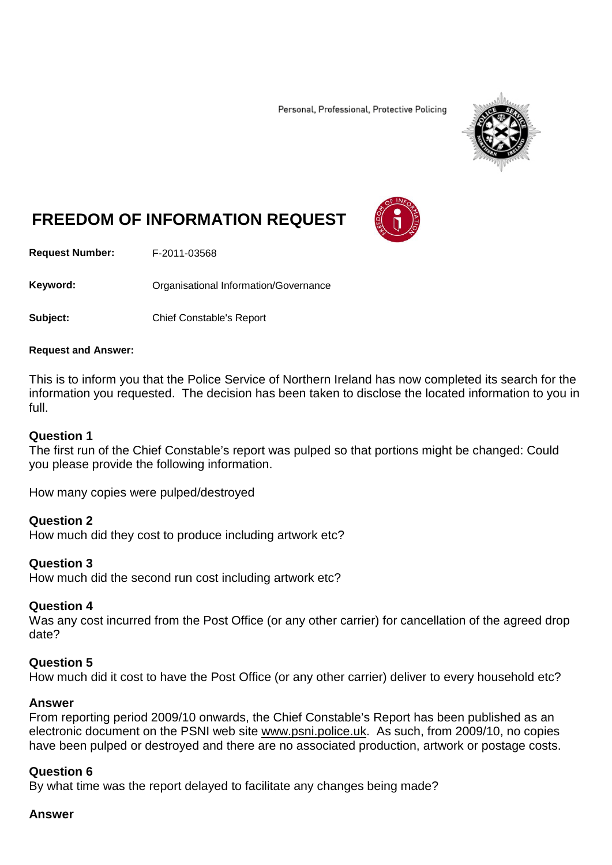Personal, Professional, Protective Policing



# **FREEDOM OF INFORMATION REQUEST**

**Request Number:** F-2011-03568

Keyword: **Communistry Communisties** Organisational Information/Governance

**Subject:** Chief Constable's Report

#### **Request and Answer:**

This is to inform you that the Police Service of Northern Ireland has now completed its search for the information you requested. The decision has been taken to disclose the located information to you in full.

#### **Question 1**

The first run of the Chief Constable's report was pulped so that portions might be changed: Could you please provide the following information.

How many copies were pulped/destroyed

### **Question 2**

How much did they cost to produce including artwork etc?

### **Question 3**

How much did the second run cost including artwork etc?

### **Question 4**

Was any cost incurred from the Post Office (or any other carrier) for cancellation of the agreed drop date?

### **Question 5**

How much did it cost to have the Post Office (or any other carrier) deliver to every household etc?

### **Answer**

From reporting period 2009/10 onwards, the Chief Constable's Report has been published as an electronic document on the PSNI web site [www.psni.police.uk.](http://www.psni.police.uk/) As such, from 2009/10, no copies have been pulped or destroyed and there are no associated production, artwork or postage costs.

### **Question 6**

By what time was the report delayed to facilitate any changes being made?

#### **Answer**